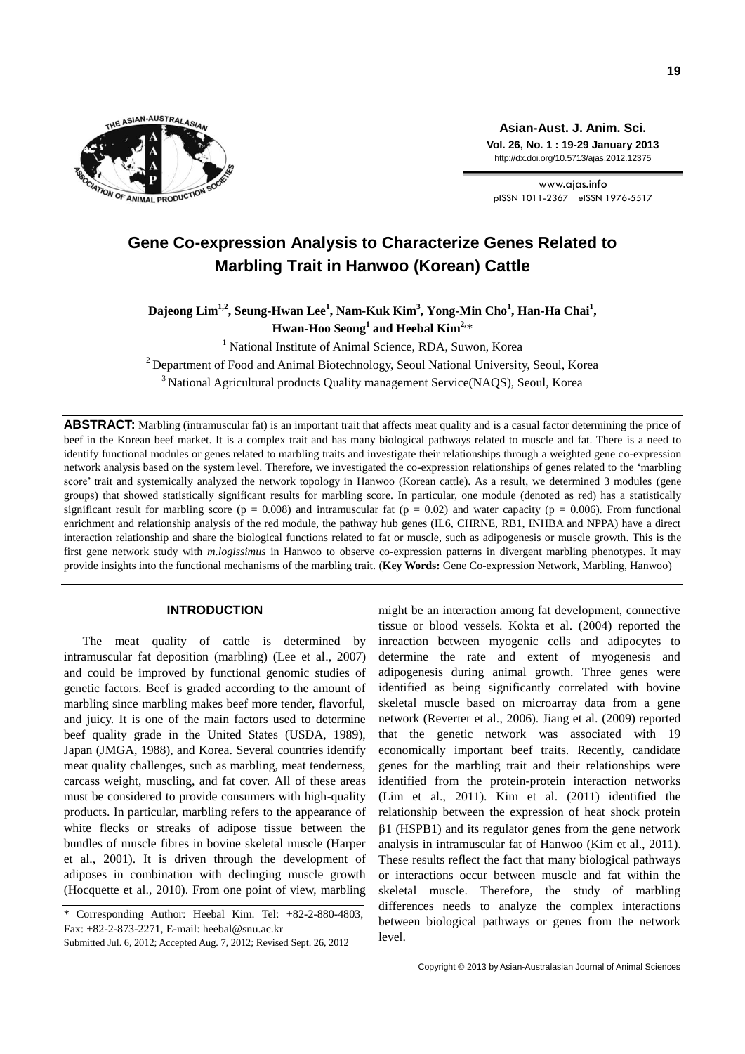

**Asian-Aust. J. Anim. Sci. Vol. 26, No. 1 : 19-29 January 2013** http://dx.doi.org/10.5713/ajas.2012.12375

www.ajas.info pISSN 1011-2367 eISSN 1976-5517

# **Gene Co-expression Analysis to Characterize Genes Related to Marbling Trait in Hanwoo (Korean) Cattle**

**Dajeong Lim1,2, Seung-Hwan Lee<sup>1</sup> , Nam-Kuk Kim<sup>3</sup> , Yong-Min Cho<sup>1</sup> , Han-Ha Chai<sup>1</sup> , Hwan-Hoo Seong<sup>1</sup> and Heebal Kim2,** \*

<sup>1</sup> National Institute of Animal Science, RDA, Suwon, Korea

 $2$  Department of Food and Animal Biotechnology, Seoul National University, Seoul, Korea

 $3$ National Agricultural products Quality management Service(NAQS), Seoul, Korea

**ABSTRACT:** Marbling (intramuscular fat) is an important trait that affects meat quality and is a casual factor determining the price of beef in the Korean beef market. It is a complex trait and has many biological pathways related to muscle and fat. There is a need to identify functional modules or genes related to marbling traits and investigate their relationships through a weighted gene co-expression network analysis based on the system level. Therefore, we investigated the co-expression relationships of genes related to the 'marbling score' trait and systemically analyzed the network topology in Hanwoo (Korean cattle). As a result, we determined 3 modules (gene groups) that showed statistically significant results for marbling score. In particular, one module (denoted as red) has a statistically significant result for marbling score ( $p = 0.008$ ) and intramuscular fat ( $p = 0.02$ ) and water capacity ( $p = 0.006$ ). From functional enrichment and relationship analysis of the red module, the pathway hub genes (IL6, CHRNE, RB1, INHBA and NPPA) have a direct interaction relationship and share the biological functions related to fat or muscle, such as adipogenesis or muscle growth. This is the first gene network study with *m.logissimus* in Hanwoo to observe co-expression patterns in divergent marbling phenotypes. It may provide insights into the functional mechanisms of the marbling trait. (**Key Words:** Gene Co-expression Network, Marbling, Hanwoo)

# **INTRODUCTION**

The meat quality of cattle is determined by intramuscular fat deposition (marbling) (Lee et al., 2007) and could be improved by functional genomic studies of genetic factors. Beef is graded according to the amount of marbling since marbling makes beef more tender, flavorful, and juicy. It is one of the main factors used to determine beef quality grade in the United States (USDA, 1989), Japan (JMGA, 1988), and Korea. Several countries identify meat quality challenges, such as marbling, meat tenderness, carcass weight, muscling, and fat cover. All of these areas must be considered to provide consumers with high-quality products. In particular, marbling refers to the appearance of white flecks or streaks of adipose tissue between the bundles of muscle fibres in bovine skeletal muscle (Harper et al., 2001). It is driven through the development of adiposes in combination with declinging muscle growth (Hocquette et al., 2010). From one point of view, marbling might be an interaction among fat development, connective tissue or blood vessels. Kokta et al. (2004) reported the inreaction between myogenic cells and adipocytes to determine the rate and extent of myogenesis and adipogenesis during animal growth. Three genes were identified as being significantly correlated with bovine skeletal muscle based on microarray data from a gene network (Reverter et al., 2006). Jiang et al. (2009) reported that the genetic network was associated with 19 economically important beef traits. Recently, candidate genes for the marbling trait and their relationships were identified from the protein-protein interaction networks (Lim et al., 2011). Kim et al. (2011) identified the relationship between the expression of heat shock protein  $\beta$ 1 (HSPB1) and its regulator genes from the gene network analysis in intramuscular fat of Hanwoo (Kim et al., 2011). These results reflect the fact that many biological pathways or interactions occur between muscle and fat within the skeletal muscle. Therefore, the study of marbling differences needs to analyze the complex interactions between biological pathways or genes from the network level.

<sup>\*</sup> Corresponding Author: Heebal Kim. Tel: +82-2-880-4803, Fax: +82-2-873-2271, E-mail: heebal@snu.ac.kr

Submitted Jul. 6, 2012; Accepted Aug. 7, 2012; Revised Sept. 26, 2012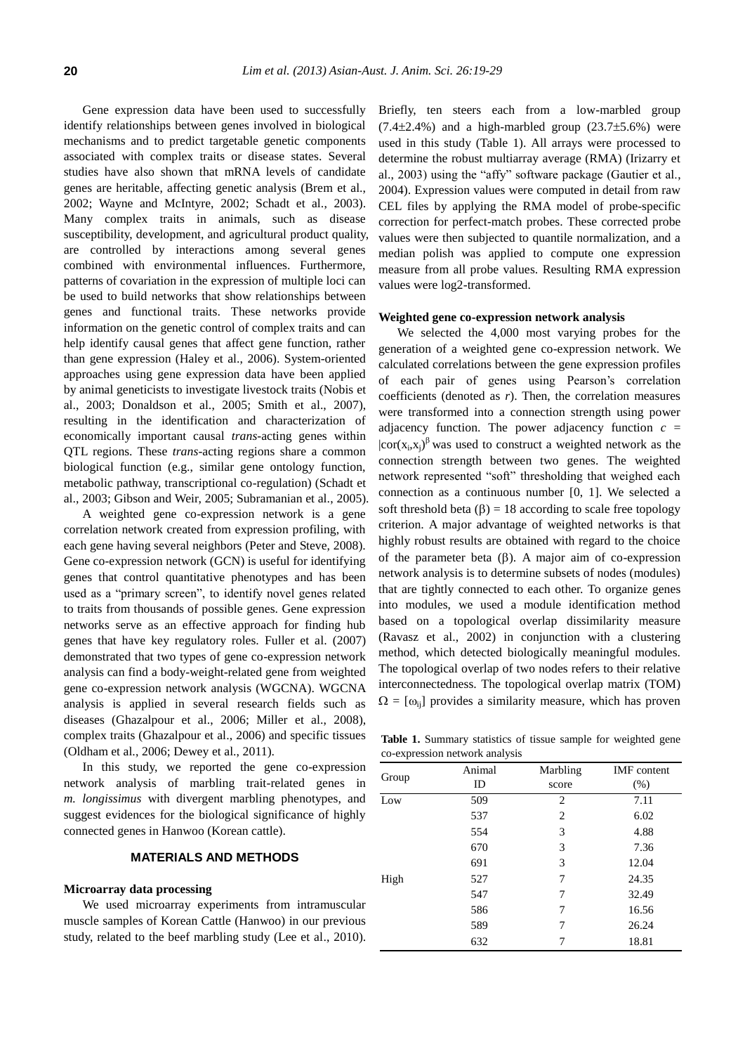Gene expression data have been used to successfully identify relationships between genes involved in biological mechanisms and to predict targetable genetic components associated with complex traits or disease states. Several studies have also shown that mRNA levels of candidate genes are heritable, affecting genetic analysis (Brem et al., 2002; Wayne and McIntyre, 2002; Schadt et al., 2003). Many complex traits in animals, such as disease susceptibility, development, and agricultural product quality, are controlled by interactions among several genes combined with environmental influences. Furthermore, patterns of covariation in the expression of multiple loci can be used to build networks that show relationships between genes and functional traits. These networks provide information on the genetic control of complex traits and can help identify causal genes that affect gene function, rather than gene expression (Haley et al., 2006). System-oriented approaches using gene expression data have been applied by animal geneticists to investigate livestock traits (Nobis et al., 2003; Donaldson et al., 2005; Smith et al., 2007), resulting in the identification and characterization of economically important causal *trans*-acting genes within QTL regions. These *trans*-acting regions share a common biological function (e.g., similar gene ontology function, metabolic pathway, transcriptional co-regulation) (Schadt et al., 2003; Gibson and Weir, 2005; Subramanian et al., 2005).

A weighted gene co-expression network is a gene correlation network created from expression profiling, with each gene having several neighbors (Peter and Steve, 2008). Gene co-expression network (GCN) is useful for identifying genes that control quantitative phenotypes and has been used as a "primary screen", to identify novel genes related to traits from thousands of possible genes. Gene expression networks serve as an effective approach for finding hub genes that have key regulatory roles. Fuller et al. (2007) demonstrated that two types of gene co-expression network analysis can find a body-weight-related gene from weighted gene co-expression network analysis (WGCNA). WGCNA analysis is applied in several research fields such as diseases (Ghazalpour et al., 2006; Miller et al., 2008), complex traits (Ghazalpour et al., 2006) and specific tissues (Oldham et al., 2006; Dewey et al., 2011).

In this study, we reported the gene co-expression network analysis of marbling trait-related genes in *m. longissimus* with divergent marbling phenotypes, and suggest evidences for the biological significance of highly connected genes in Hanwoo (Korean cattle).

# **MATERIALS AND METHODS**

## **Microarray data processing**

We used microarray experiments from intramuscular muscle samples of Korean Cattle (Hanwoo) in our previous study, related to the beef marbling study (Lee et al., 2010). Briefly, ten steers each from a low-marbled group  $(7.4\pm2.4\%)$  and a high-marbled group  $(23.7\pm5.6\%)$  were used in this study (Table 1). All arrays were processed to determine the robust multiarray average (RMA) (Irizarry et al., 2003) using the "affy" software package (Gautier et al., 2004). Expression values were computed in detail from raw CEL files by applying the RMA model of probe-specific correction for perfect-match probes. These corrected probe values were then subjected to quantile normalization, and a median polish was applied to compute one expression measure from all probe values. Resulting RMA expression values were log2-transformed.

#### **Weighted gene co-expression network analysis**

We selected the 4,000 most varying probes for the generation of a weighted gene co-expression network. We calculated correlations between the gene expression profiles of each pair of genes using Pearson's correlation coefficients (denoted as *r*). Then, the correlation measures were transformed into a connection strength using power adjacency function. The power adjacency function  $c =$  $|cor(x_i, x_j)|^{\beta}$  was used to construct a weighted network as the connection strength between two genes. The weighted network represented "soft" thresholding that weighed each connection as a continuous number [0, 1]. We selected a soft threshold beta  $(\beta) = 18$  according to scale free topology criterion. A major advantage of weighted networks is that highly robust results are obtained with regard to the choice of the parameter beta  $(\beta)$ . A major aim of co-expression network analysis is to determine subsets of nodes (modules) that are tightly connected to each other. To organize genes into modules, we used a module identification method based on a topological overlap dissimilarity measure (Ravasz et al., 2002) in conjunction with a clustering method, which detected biologically meaningful modules. The topological overlap of two nodes refers to their relative interconnectedness. The topological overlap matrix (TOM)  $\Omega = [\omega_{ij}]$  provides a similarity measure, which has proven

**Table 1.** Summary statistics of tissue sample for weighted gene co-expression network analysis

|       | Animal |          | <b>IMF</b> content |
|-------|--------|----------|--------------------|
| Group |        | Marbling |                    |
|       | ID     | score    | (% )               |
| Low   | 509    | 2        | 7.11               |
|       | 537    | 2        | 6.02               |
|       | 554    | 3        | 4.88               |
|       | 670    | 3        | 7.36               |
|       | 691    | 3        | 12.04              |
| High  | 527    | 7        | 24.35              |
|       | 547    | 7        | 32.49              |
|       | 586    | 7        | 16.56              |
|       | 589    | 7        | 26.24              |
|       | 632    |          | 18.81              |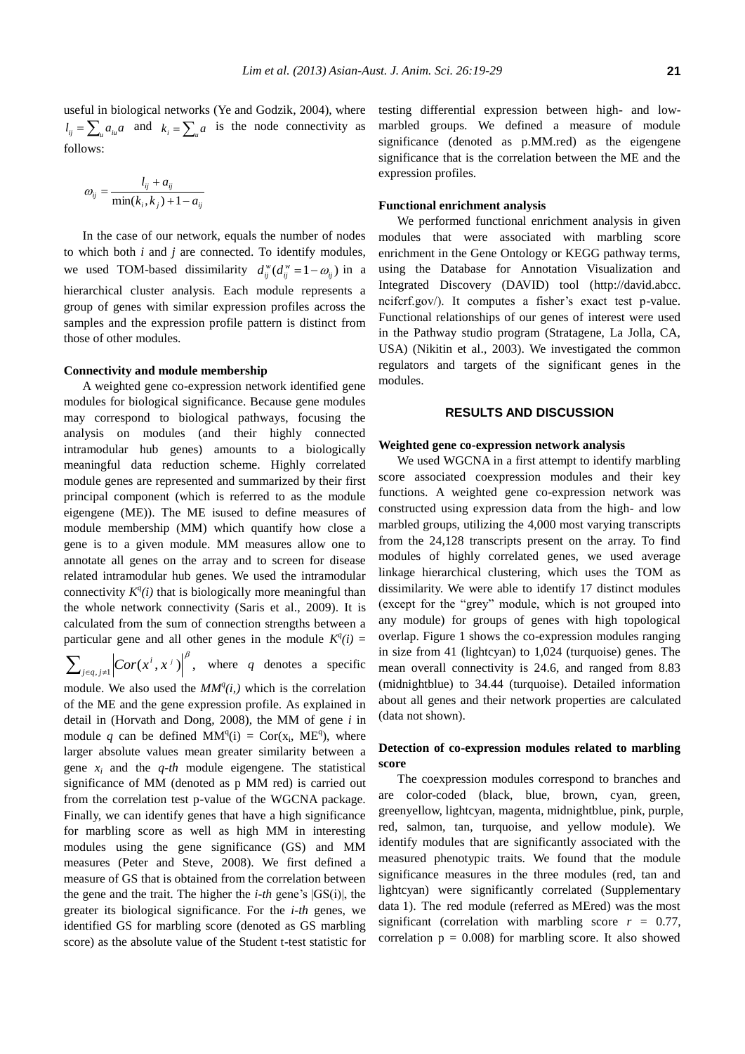useful in biological networks (Ye and Godzik, 2004), where  $l_{ij} = \sum_{u} a_{iu} a$  and  $k_i = \sum_{u} a$  is the node connectivity as follows:

$$
\omega_{ij} = \frac{l_{ij} + a_{ij}}{\min(k_i, k_j) + 1 - a_{ij}}
$$

In the case of our network, equals the number of nodes to which both *i* and *j* are connected. To identify modules, we used TOM-based dissimilarity  $d_{ij}^w (d_{ij}^w = 1 - \omega_{ij})$  in a hierarchical cluster analysis. Each module represents a group of genes with similar expression profiles across the samples and the expression profile pattern is distinct from those of other modules.

#### **Connectivity and module membership**

A weighted gene co-expression network identified gene modules for biological significance. Because gene modules may correspond to biological pathways, focusing the analysis on modules (and their highly connected intramodular hub genes) amounts to a biologically meaningful data reduction scheme. Highly correlated module genes are represented and summarized by their first principal component (which is referred to as the module eigengene (ME)). The ME isused to define measures of module membership (MM) which quantify how close a gene is to a given module. MM measures allow one to annotate all genes on the array and to screen for disease related intramodular hub genes. We used the intramodular connectivity  $K^q(i)$  that is biologically more meaningful than the whole network connectivity (Saris et al., 2009). It is calculated from the sum of connection strengths between a particular gene and all other genes in the module  $K^q(i)$ 

$$
\sum\nolimits_{j\in q,j\neq 1}\nolimits \biggl| Cor(
$$

 $Cor(x^i, x^j)$ , where q denotes a specific

module. We also used the  $MM<sup>q</sup>(i, )$  which is the correlation of the ME and the gene expression profile. As explained in detail in (Horvath and Dong, 2008), the MM of gene *i* in module q can be defined  $MM^{q}(i) = Cor(x_{i}, ME^{q})$ , where larger absolute values mean greater similarity between a gene *x<sup>i</sup>* and the *q-th* module eigengene. The statistical significance of MM (denoted as p MM red) is carried out from the correlation test p-value of the WGCNA package. Finally, we can identify genes that have a high significance for marbling score as well as high MM in interesting modules using the gene significance (GS) and MM measures (Peter and Steve, 2008). We first defined a measure of GS that is obtained from the correlation between the gene and the trait. The higher the *i-th* gene's |GS(i)|, the greater its biological significance. For the *i-th* genes, we identified GS for marbling score (denoted as GS marbling score) as the absolute value of the Student t-test statistic for

testing differential expression between high- and lowmarbled groups. We defined a measure of module significance (denoted as p.MM.red) as the eigengene significance that is the correlation between the ME and the expression profiles.

## **Functional enrichment analysis**

We performed functional enrichment analysis in given modules that were associated with marbling score enrichment in the Gene Ontology or KEGG pathway terms, using the Database for Annotation Visualization and Integrated Discovery (DAVID) tool (http://david.abcc. ncifcrf.gov/). It computes a fisher's exact test p-value. Functional relationships of our genes of interest were used in the Pathway studio program (Stratagene, La Jolla, CA, USA) (Nikitin et al., 2003). We investigated the common regulators and targets of the significant genes in the modules.

# **RESULTS AND DISCUSSION**

## **Weighted gene co-expression network analysis**

We used WGCNA in a first attempt to identify marbling score associated coexpression modules and their key functions. A weighted gene co-expression network was constructed using expression data from the high- and low marbled groups, utilizing the 4,000 most varying transcripts from the 24,128 transcripts present on the array. To find modules of highly correlated genes, we used average linkage hierarchical clustering, which uses the TOM as dissimilarity. We were able to identify 17 distinct modules (except for the "grey" module, which is not grouped into any module) for groups of genes with high topological overlap. Figure 1 shows the co-expression modules ranging in size from 41 (lightcyan) to 1,024 (turquoise) genes. The mean overall connectivity is 24.6, and ranged from 8.83 (midnightblue) to 34.44 (turquoise). Detailed information about all genes and their network properties are calculated (data not shown).

# **Detection of co-expression modules related to marbling score**

The coexpression modules correspond to branches and are color-coded (black, blue, brown, cyan, green, greenyellow, lightcyan, magenta, midnightblue, pink, purple, red, salmon, tan, turquoise, and yellow module). We identify modules that are significantly associated with the measured phenotypic traits. We found that the module significance measures in the three modules (red, tan and lightcyan) were significantly correlated (Supplementary data 1). The red module (referred as MEred) was the most significant (correlation with marbling score  $r = 0.77$ , correlation  $p = 0.008$ ) for marbling score. It also showed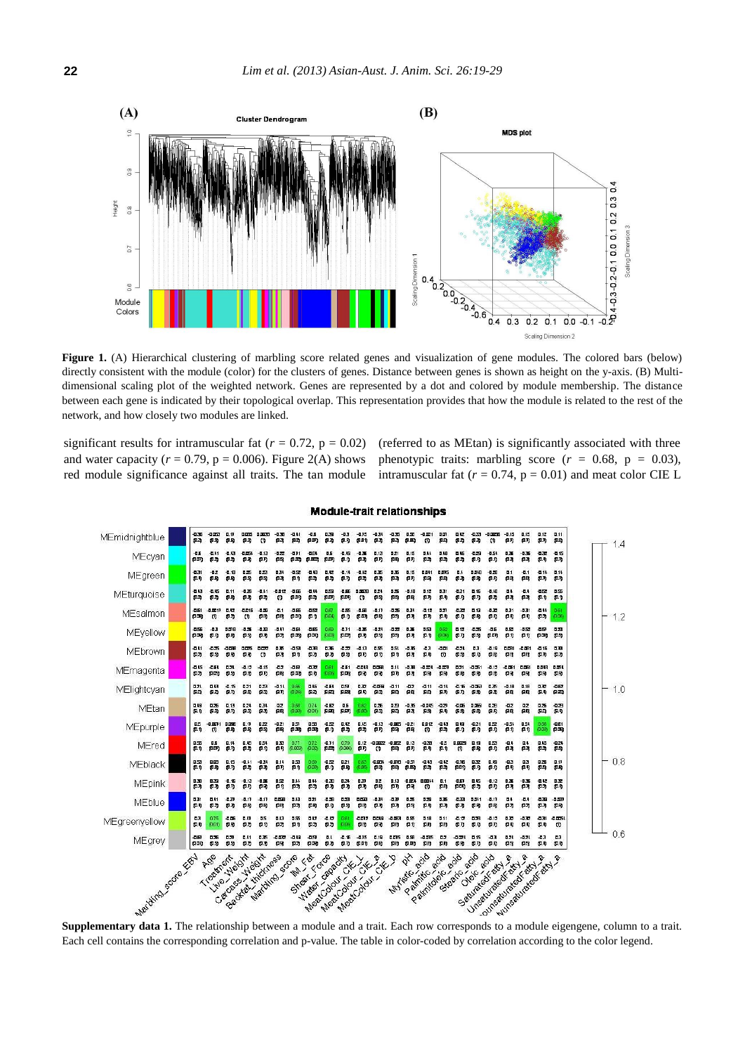

Figure 1. (A) Hierarchical clustering of marbling score related genes and visualization of gene modules. The colored bars (below) directly consistent with the module (color) for the clusters of genes. Distance between genes is shown as height on the y-axis. (B) Multidimensional scaling plot of the weighted network. Genes are represented by a dot and colored by module membership. The distance between each gene is indicated by their topological overlap. This representation provides that how the module is related to the rest of the network, and how closely two modules are linked.

significant results for intramuscular fat ( $r = 0.72$ ,  $p = 0.02$ ) and water capacity ( $r = 0.79$ ,  $p = 0.006$ ). Figure 2(A) shows red module significance against all traits. The tan module (referred to as MEtan) is significantly associated with three phenotypic traits: marbling score  $(r = 0.68, p = 0.03)$ , intramuscular fat  $(r = 0.74, p = 0.01)$  and meat color CIE L



## **Module-trait relationships**

Each cell contains the corresponding correlation and p-value. The table in color-coded by correlation according to the color legend.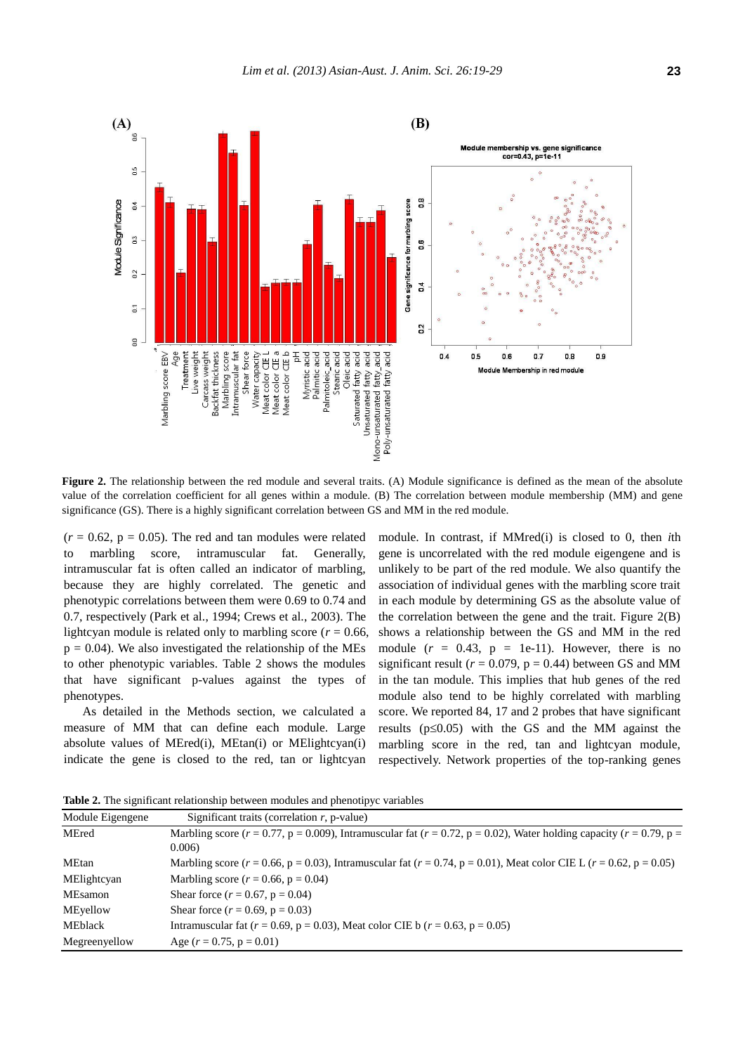

**Figure 2.** The relationship between the red module and several traits. (A) Module significance is defined as the mean of the absolute value of the correlation coefficient for all genes within a module. (B) The correlation between module membership (MM) and gene significance (GS). There is a highly significant correlation between GS and MM in the red module.

 $(r = 0.62, p = 0.05)$ . The red and tan modules were related to marbling score, intramuscular fat. Generally, intramuscular fat is often called an indicator of marbling, because they are highly correlated. The genetic and phenotypic correlations between them were 0.69 to 0.74 and 0.7, respectively (Park et al., 1994; Crews et al., 2003). The lightcyan module is related only to marbling score ( $r = 0.66$ ,  $p = 0.04$ ). We also investigated the relationship of the MEs to other phenotypic variables. Table 2 shows the modules that have significant p-values against the types of phenotypes.

As detailed in the Methods section, we calculated a measure of MM that can define each module. Large absolute values of MEred(i), MEtan(i) or MElightcyan(i) indicate the gene is closed to the red, tan or lightcyan module. In contrast, if MMred(i) is closed to 0, then *i*th gene is uncorrelated with the red module eigengene and is unlikely to be part of the red module. We also quantify the association of individual genes with the marbling score trait in each module by determining GS as the absolute value of the correlation between the gene and the trait. Figure 2(B) shows a relationship between the GS and MM in the red module  $(r = 0.43, p = 1e-11)$ . However, there is no significant result ( $r = 0.079$ ,  $p = 0.44$ ) between GS and MM in the tan module. This implies that hub genes of the red module also tend to be highly correlated with marbling score. We reported 84, 17 and 2 probes that have significant results ( $p \le 0.05$ ) with the GS and the MM against the marbling score in the red, tan and lightcyan module, respectively. Network properties of the top-ranking genes

**Table 2.** The significant relationship between modules and phenotipyc variables

| Module Eigengene | Significant traits (correlation $r$ , p-value)                                                                                              |
|------------------|---------------------------------------------------------------------------------------------------------------------------------------------|
| MEred            | Marbling score $(r = 0.77, p = 0.009)$ , Intramuscular fat $(r = 0.72, p = 0.02)$ , Water holding capacity $(r = 0.79, p = 0.009)$<br>0.006 |
| MEtan            | Marbling score ( $r = 0.66$ , $p = 0.03$ ), Intramuscular fat ( $r = 0.74$ , $p = 0.01$ ), Meat color CIE L ( $r = 0.62$ , $p = 0.05$ )     |
| MElightcyan      | Marbling score ( $r = 0.66$ , $p = 0.04$ )                                                                                                  |
| MEsamon          | Shear force $(r = 0.67, p = 0.04)$                                                                                                          |
| MEyellow         | Shear force $(r = 0.69, p = 0.03)$                                                                                                          |
| <b>MEblack</b>   | Intramuscular fat ( $r = 0.69$ , $p = 0.03$ ), Meat color CIE b ( $r = 0.63$ , $p = 0.05$ )                                                 |
| Megreenyellow    | Age $(r = 0.75, p = 0.01)$                                                                                                                  |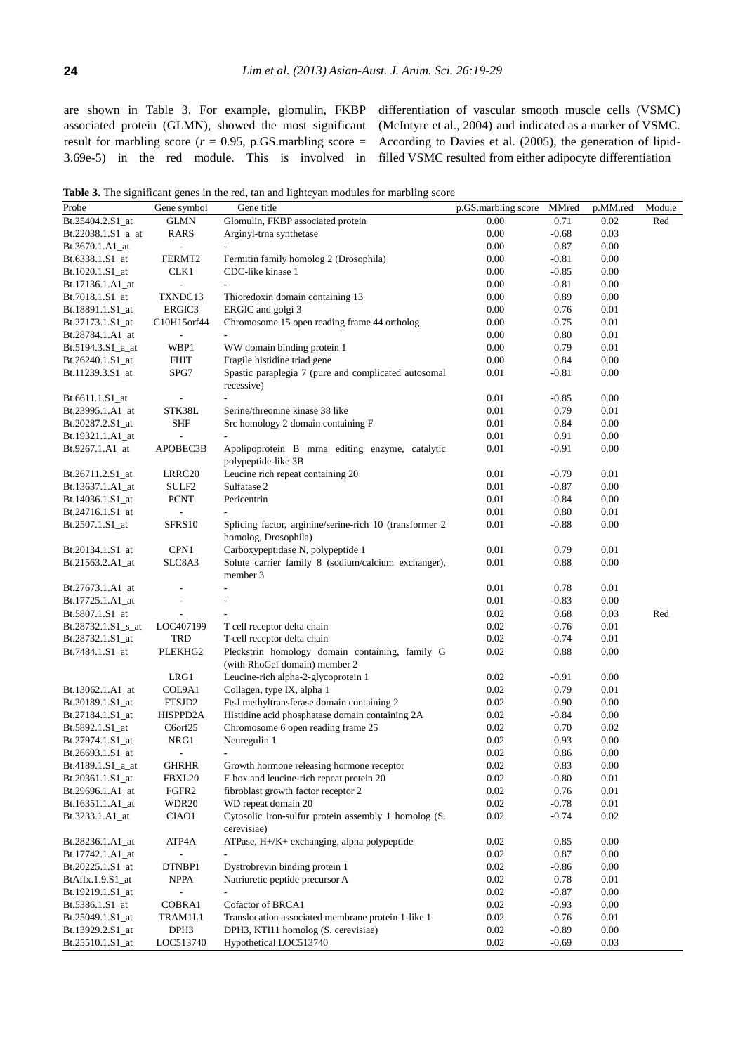are shown in Table 3. For example, glomulin, FKBP associated protein (GLMN), showed the most significant result for marbling score ( $r = 0.95$ , p.GS.marbling score = 3.69e-5) in the red module. This is involved in differentiation of vascular smooth muscle cells (VSMC) (McIntyre et al., 2004) and indicated as a marker of VSMC. According to Davies et al. (2005), the generation of lipidfilled VSMC resulted from either adipocyte differentiation

Table 3. The significant genes in the red, tan and lightcyan modules for marbling score

|                      |                          | <b>Table 3.</b> The significant genes in the fed, tan and light yan modules for marbing score |                     |         |          |        |
|----------------------|--------------------------|-----------------------------------------------------------------------------------------------|---------------------|---------|----------|--------|
| Probe                | Gene symbol              | Gene title                                                                                    | p.GS.marbling score | MMred   | p.MM.red | Module |
| Bt.25404.2.S1_at     | <b>GLMN</b>              | Glomulin, FKBP associated protein                                                             | 0.00                | 0.71    | 0.02     | Red    |
| Bt.22038.1.S1_a_at   | RARS                     | Arginyl-trna synthetase                                                                       | 0.00                | $-0.68$ | 0.03     |        |
| Bt.3670.1.A1_at      | $\overline{a}$           |                                                                                               | 0.00                | 0.87    | 0.00     |        |
| Bt.6338.1.S1_at      | FERMT2                   | Fermitin family homolog 2 (Drosophila)                                                        | 0.00                | $-0.81$ | 0.00     |        |
| Bt.1020.1.S1_at      | CLK1                     | CDC-like kinase 1                                                                             | 0.00                | $-0.85$ | 0.00     |        |
| Bt.17136.1.A1_at     |                          |                                                                                               | 0.00                | $-0.81$ | 0.00     |        |
| Bt.7018.1.S1_at      | TXNDC13                  | Thioredoxin domain containing 13                                                              | 0.00                | 0.89    | 0.00     |        |
| Bt.18891.1.S1_at     | ERGIC3                   | ERGIC and golgi 3                                                                             | 0.00                | 0.76    | 0.01     |        |
| Bt.27173.1.S1_at     | C10H15orf44              | Chromosome 15 open reading frame 44 ortholog                                                  | 0.00                | $-0.75$ | 0.01     |        |
| Bt.28784.1.A1_at     |                          |                                                                                               | 0.00                | 0.80    | 0.01     |        |
| $Bt.5194.3.S1_aat$   | WBP1                     | WW domain binding protein 1                                                                   | 0.00                | 0.79    | 0.01     |        |
| Bt.26240.1.S1_at     | <b>FHIT</b>              | Fragile histidine triad gene                                                                  | 0.00                | 0.84    | 0.00     |        |
| Bt.11239.3.S1_at     | SPG7                     | Spastic paraplegia 7 (pure and complicated autosomal                                          | 0.01                | $-0.81$ | 0.00     |        |
|                      |                          | recessive)                                                                                    |                     |         |          |        |
| Bt.6611.1.S1_at      |                          |                                                                                               | 0.01                | $-0.85$ | 0.00     |        |
| Bt.23995.1.A1_at     | STK38L                   | Serine/threonine kinase 38 like                                                               | 0.01                | 0.79    | 0.01     |        |
| Bt.20287.2.S1_at     | <b>SHF</b>               | Src homology 2 domain containing F                                                            | 0.01                | 0.84    | 0.00     |        |
| Bt.19321.1.A1_at     |                          |                                                                                               | 0.01                | 0.91    | 0.00     |        |
| Bt.9267.1.A1_at      | APOBEC3B                 | Apolipoprotein B mrna editing enzyme, catalytic                                               | 0.01                | $-0.91$ | 0.00     |        |
|                      |                          | polypeptide-like 3B                                                                           |                     |         |          |        |
| Bt.26711.2.S1_at     | LRRC20                   | Leucine rich repeat containing 20                                                             | 0.01                | $-0.79$ | 0.01     |        |
| Bt.13637.1.A1_at     | SULF2                    | Sulfatase 2                                                                                   | 0.01                | $-0.87$ | 0.00     |        |
| Bt.14036.1.S1_at     | <b>PCNT</b>              | Pericentrin                                                                                   | 0.01                | $-0.84$ | 0.00     |        |
| Bt.24716.1.S1_at     |                          |                                                                                               | 0.01                | 0.80    | 0.01     |        |
| Bt.2507.1.S1_at      | SFRS10                   | Splicing factor, arginine/serine-rich 10 (transformer 2                                       | 0.01                | $-0.88$ | 0.00     |        |
|                      |                          | homolog, Drosophila)                                                                          |                     |         |          |        |
| Bt.20134.1.S1_at     | CPN1                     | Carboxypeptidase N, polypeptide 1                                                             | 0.01                | 0.79    | 0.01     |        |
| Bt.21563.2.A1_at     | SLC8A3                   | Solute carrier family 8 (sodium/calcium exchanger),                                           | 0.01                | 0.88    | 0.00     |        |
|                      |                          | member 3                                                                                      |                     |         |          |        |
| Bt.27673.1.A1_at     | $\overline{\phantom{a}}$ | $\overline{a}$                                                                                | 0.01                | 0.78    | 0.01     |        |
| Bt.17725.1.A1_at     |                          |                                                                                               | 0.01                | $-0.83$ | 0.00     |        |
| Bt.5807.1.S1_at      |                          |                                                                                               | 0.02                | 0.68    | 0.03     | Red    |
| $Bt.28732.1.S1_s_at$ | LOC407199                | T cell receptor delta chain                                                                   | 0.02                | $-0.76$ | 0.01     |        |
| Bt.28732.1.S1_at     | TRD                      | T-cell receptor delta chain                                                                   | 0.02                | $-0.74$ | 0.01     |        |
| Bt.7484.1.S1_at      | PLEKHG2                  | Pleckstrin homology domain containing, family G                                               | 0.02                | 0.88    | 0.00     |        |
|                      |                          | (with RhoGef domain) member 2                                                                 |                     |         |          |        |
|                      | LRG1                     | Leucine-rich alpha-2-glycoprotein 1                                                           | 0.02                | $-0.91$ | 0.00     |        |
| Bt.13062.1.A1_at     | COL9A1                   | Collagen, type IX, alpha 1                                                                    | 0.02                | 0.79    | 0.01     |        |
| Bt.20189.1.S1_at     | FTSJD2                   | FtsJ methyltransferase domain containing 2                                                    | 0.02                | $-0.90$ | 0.00     |        |
| Bt.27184.1.S1_at     | HISPPD2A                 | Histidine acid phosphatase domain containing 2A                                               | 0.02                | $-0.84$ | 0.00     |        |
| Bt.5892.1.S1_at      | C6orf25                  | Chromosome 6 open reading frame 25                                                            | 0.02                | 0.70    | 0.02     |        |
| Bt.27974.1.S1_at     | NRG1                     | Neuregulin 1                                                                                  | 0.02                | 0.93    | 0.00     |        |
| Bt.26693.1.S1 at     |                          |                                                                                               | 0.02                | 0.86    | 0.00     |        |
| Bt.4189.1.S1_a_at    | <b>GHRHR</b>             | Growth hormone releasing hormone receptor                                                     | 0.02                | 0.83    | 0.00     |        |
| Bt.20361.1.S1_at     | FBXL20                   | F-box and leucine-rich repeat protein 20                                                      | 0.02                | $-0.80$ | 0.01     |        |
| Bt.29696.1.A1_at     | FGFR <sub>2</sub>        | fibroblast growth factor receptor 2                                                           | 0.02                | 0.76    | 0.01     |        |
| Bt.16351.1.A1_at     | WDR <sub>20</sub>        | WD repeat domain 20                                                                           | 0.02                | $-0.78$ | 0.01     |        |
| Bt.3233.1.A1_at      | CIAO1                    | Cytosolic iron-sulfur protein assembly 1 homolog (S.                                          | 0.02                | $-0.74$ | 0.02     |        |
|                      |                          | cerevisiae)                                                                                   |                     |         |          |        |
| Bt.28236.1.A1_at     | ATP4A                    | ATPase, H+/K+ exchanging, alpha polypeptide                                                   | 0.02                | 0.85    | 0.00     |        |
| Bt.17742.1.A1_at     |                          |                                                                                               | 0.02                | 0.87    | 0.00     |        |
| Bt.20225.1.S1_at     | DTNBP1                   | Dystrobrevin binding protein 1                                                                | 0.02                | $-0.86$ | 0.00     |        |
| BtAffx.1.9.S1_at     | <b>NPPA</b>              | Natriuretic peptide precursor A                                                               | 0.02                | 0.78    | 0.01     |        |
| Bt.19219.1.S1_at     |                          |                                                                                               | 0.02                | $-0.87$ | 0.00     |        |
| Bt.5386.1.S1_at      | COBRA1                   | Cofactor of BRCA1                                                                             | 0.02                | $-0.93$ | 0.00     |        |
| Bt.25049.1.S1_at     | TRAM1L1                  | Translocation associated membrane protein 1-like 1                                            | 0.02                | 0.76    | 0.01     |        |
| Bt.13929.2.S1_at     | DPH3                     | DPH3, KTI11 homolog (S. cerevisiae)                                                           | 0.02                | $-0.89$ | 0.00     |        |
| Bt.25510.1.S1_at     | LOC513740                | Hypothetical LOC513740                                                                        | 0.02                | $-0.69$ | 0.03     |        |
|                      |                          |                                                                                               |                     |         |          |        |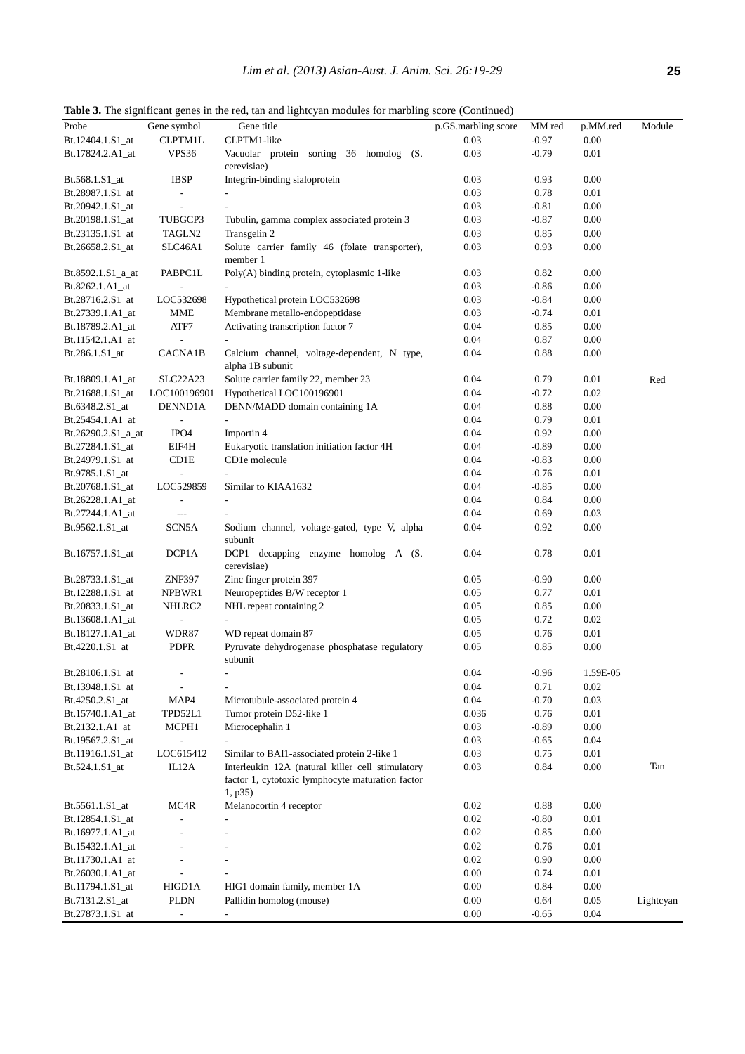| ٦ |
|---|
|   |

**Table 3.** The significant genes in the red, tan and lightcyan modules for marbling score (Continued)

| Probe              | Gene symbol              | Gene title                                                      | p.GS.marbling score | MM red  | p.MM.red | Module    |
|--------------------|--------------------------|-----------------------------------------------------------------|---------------------|---------|----------|-----------|
| Bt.12404.1.S1 at   | CLPTM1L                  | CLPTM1-like                                                     | 0.03                | $-0.97$ | 0.00     |           |
| Bt.17824.2.A1_at   | VPS36                    | Vacuolar protein sorting 36 homolog (S.<br>cerevisiae)          | 0.03                | $-0.79$ | 0.01     |           |
| Bt.568.1.S1_at     | <b>IBSP</b>              | Integrin-binding sialoprotein                                   | 0.03                | 0.93    | 0.00     |           |
| Bt.28987.1.S1_at   | $\overline{\phantom{a}}$ |                                                                 | 0.03                | 0.78    | 0.01     |           |
| Bt.20942.1.S1_at   |                          |                                                                 | 0.03                | $-0.81$ | 0.00     |           |
| Bt.20198.1.S1_at   | TUBGCP3                  | Tubulin, gamma complex associated protein 3                     | 0.03                | $-0.87$ | 0.00     |           |
| Bt.23135.1.S1_at   | TAGLN2                   | Transgelin 2                                                    | 0.03                | 0.85    | 0.00     |           |
| Bt.26658.2.S1_at   | SLC46A1                  | Solute carrier family 46 (folate transporter),                  | 0.03                | 0.93    | 0.00     |           |
|                    |                          | member 1                                                        |                     |         |          |           |
| Bt.8592.1.S1_a_at  | PABPC1L                  | Poly(A) binding protein, cytoplasmic 1-like                     | 0.03                | 0.82    | 0.00     |           |
| Bt.8262.1.A1_at    |                          |                                                                 | 0.03                | $-0.86$ | 0.00     |           |
| Bt.28716.2.S1_at   | LOC532698                | Hypothetical protein LOC532698                                  | 0.03                | $-0.84$ | 0.00     |           |
| Bt.27339.1.A1_at   | MME                      | Membrane metallo-endopeptidase                                  | 0.03                | $-0.74$ | 0.01     |           |
| Bt.18789.2.A1_at   | ATF7                     | Activating transcription factor 7                               | 0.04                | 0.85    | $0.00\,$ |           |
| Bt.11542.1.A1_at   |                          |                                                                 | 0.04                | 0.87    | 0.00     |           |
| Bt.286.1.S1_at     | CACNA1B                  | Calcium channel, voltage-dependent, N type,<br>alpha 1B subunit | 0.04                | 0.88    | 0.00     |           |
| Bt.18809.1.A1_at   | SLC22A23                 | Solute carrier family 22, member 23                             | 0.04                | 0.79    | 0.01     | Red       |
| Bt.21688.1.S1_at   | LOC100196901             | Hypothetical LOC100196901                                       | 0.04                | $-0.72$ | 0.02     |           |
| Bt.6348.2.S1_at    | DENND1A                  | DENN/MADD domain containing 1A                                  | 0.04                | 0.88    | 0.00     |           |
| Bt.25454.1.A1_at   | $\overline{a}$           | $\mathbf{r}$                                                    | 0.04                | 0.79    | 0.01     |           |
| Bt.26290.2.S1_a_at | IPO4                     | Importin 4                                                      | 0.04                | 0.92    | 0.00     |           |
| Bt.27284.1.S1_at   | EIF4H                    | Eukaryotic translation initiation factor 4H                     | 0.04                | $-0.89$ | 0.00     |           |
| Bt.24979.1.S1_at   | CD1E                     | CD1e molecule                                                   | 0.04                | $-0.83$ | 0.00     |           |
| Bt.9785.1.S1_at    |                          |                                                                 | 0.04                | $-0.76$ | 0.01     |           |
| Bt.20768.1.S1_at   | LOC529859                |                                                                 | $0.04\,$            | $-0.85$ | 0.00     |           |
|                    |                          | Similar to KIAA1632                                             | 0.04                | 0.84    | 0.00     |           |
| Bt.26228.1.A1_at   |                          |                                                                 |                     |         |          |           |
| Bt.27244.1.A1_at   | $\qquad \qquad - -$      |                                                                 | 0.04                | 0.69    | 0.03     |           |
| Bt.9562.1.S1_at    | SCN5A                    | Sodium channel, voltage-gated, type V, alpha<br>subunit         | 0.04                | 0.92    | 0.00     |           |
| Bt.16757.1.S1_at   | DCP1A                    | DCP1 decapping enzyme homolog A (S.<br>cerevisiae)              | 0.04                | 0.78    | 0.01     |           |
| Bt.28733.1.S1_at   | ZNF397                   | Zinc finger protein 397                                         | 0.05                | $-0.90$ | 0.00     |           |
| Bt.12288.1.S1_at   | NPBWR1                   | Neuropeptides B/W receptor 1                                    | 0.05                | 0.77    | 0.01     |           |
| Bt.20833.1.S1_at   | NHLRC2                   | NHL repeat containing 2                                         | 0.05                | 0.85    | 0.00     |           |
| Bt.13608.1.A1_at   | $\overline{a}$           | $\overline{\phantom{a}}$                                        | 0.05                | 0.72    | 0.02     |           |
| Bt.18127.1.A1_at   | WDR87                    | WD repeat domain 87                                             | $0.05\,$            | 0.76    | $0.01\,$ |           |
|                    | PDPR                     | Pyruvate dehydrogenase phosphatase regulatory                   | 0.05                | 0.85    | 0.00     |           |
| Bt.4220.1.S1_at    |                          | subunit                                                         |                     |         |          |           |
| Bt.28106.1.S1 at   | $\overline{\phantom{m}}$ | $\overline{\phantom{m}}$                                        | 0.04                | $-0.96$ | 1.59E-05 |           |
| Bt.13948.1.S1_at   | $\overline{\phantom{m}}$ | $\qquad \qquad \blacksquare$                                    | $0.04\,$            | 0.71    | 0.02     |           |
| Bt.4250.2.S1_at    | MAP4                     | Microtubule-associated protein 4                                | $0.04\,$            | $-0.70$ | 0.03     |           |
| Bt.15740.1.A1_at   | TPD52L1                  | Tumor protein D52-like 1                                        | 0.036               | 0.76    | $0.01\,$ |           |
| Bt.2132.1.A1_at    | MCPH1                    | Microcephalin 1                                                 | 0.03                | $-0.89$ | 0.00     |           |
| Bt.19567.2.S1_at   |                          |                                                                 | 0.03                | $-0.65$ | 0.04     |           |
| Bt.11916.1.S1_at   | LOC615412                | Similar to BAI1-associated protein 2-like 1                     | 0.03                | 0.75    | 0.01     |           |
| Bt.524.1.S1_at     | IL12A                    | Interleukin 12A (natural killer cell stimulatory                | 0.03                | 0.84    | 0.00     | Tan       |
|                    |                          | factor 1, cytotoxic lymphocyte maturation factor<br>1, p35)     |                     |         |          |           |
| Bt.5561.1.S1_at    | MC4R                     | Melanocortin 4 receptor                                         | 0.02                | 0.88    | 0.00     |           |
| Bt.12854.1.S1_at   |                          |                                                                 | $0.02\,$            | $-0.80$ | 0.01     |           |
| Bt.16977.1.A1_at   |                          |                                                                 | 0.02                | 0.85    | 0.00     |           |
| Bt.15432.1.A1_at   |                          |                                                                 | 0.02                | 0.76    | 0.01     |           |
| Bt.11730.1.A1_at   |                          |                                                                 | 0.02                | 0.90    | 0.00     |           |
| Bt.26030.1.A1_at   |                          |                                                                 | $0.00\,$            | 0.74    | 0.01     |           |
| Bt.11794.1.S1_at   | HIGD1A                   | HIG1 domain family, member 1A                                   | 0.00                | 0.84    | 0.00     |           |
| Bt.7131.2.S1_at    | PLDN                     | Pallidin homolog (mouse)                                        | $0.00\,$            | 0.64    | 0.05     | Lightcyan |
| Bt.27873.1.S1_at   |                          |                                                                 | 0.00                | $-0.65$ | 0.04     |           |
|                    |                          |                                                                 |                     |         |          |           |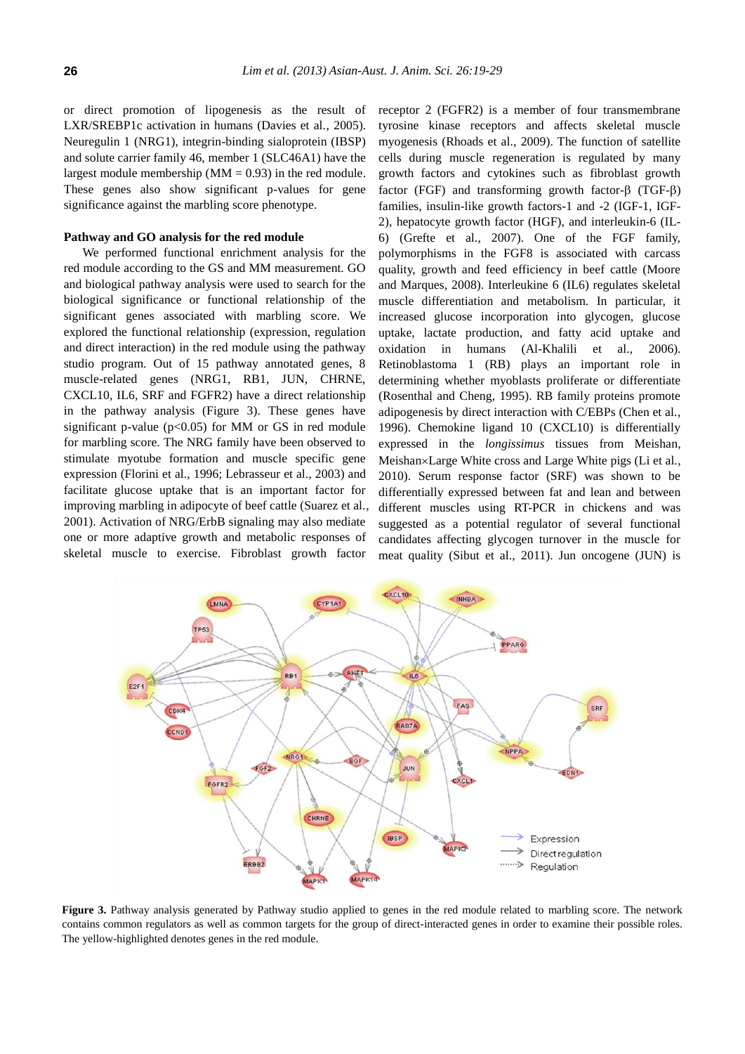or direct promotion of lipogenesis as the result of LXR/SREBP1c activation in humans (Davies et al., 2005). Neuregulin 1 (NRG1), integrin-binding sialoprotein (IBSP) and solute carrier family 46, member 1 (SLC46A1) have the largest module membership ( $MM = 0.93$ ) in the red module. These genes also show significant p-values for gene significance against the marbling score phenotype.

## **Pathway and GO analysis for the red module**

We performed functional enrichment analysis for the red module according to the GS and MM measurement. GO and biological pathway analysis were used to search for the biological significance or functional relationship of the significant genes associated with marbling score. We explored the functional relationship (expression, regulation and direct interaction) in the red module using the pathway studio program. Out of 15 pathway annotated genes, 8 muscle-related genes (NRG1, RB1, JUN, CHRNE, CXCL10, IL6, SRF and FGFR2) have a direct relationship in the pathway analysis (Figure 3). These genes have significant p-value ( $p<0.05$ ) for MM or GS in red module for marbling score. The NRG family have been observed to stimulate myotube formation and muscle specific gene expression (Florini et al., 1996; Lebrasseur et al., 2003) and facilitate glucose uptake that is an important factor for improving marbling in adipocyte of beef cattle (Suarez et al., 2001). Activation of NRG/ErbB signaling may also mediate one or more adaptive growth and metabolic responses of skeletal muscle to exercise. Fibroblast growth factor

receptor 2 (FGFR2) is a member of four transmembrane tyrosine kinase receptors and affects skeletal muscle myogenesis (Rhoads et al., 2009). The function of satellite cells during muscle regeneration is regulated by many growth factors and cytokines such as fibroblast growth factor (FGF) and transforming growth factor- $\beta$  (TGF- $\beta$ ) families, insulin-like growth factors-1 and -2 (IGF-1, IGF-2), hepatocyte growth factor (HGF), and interleukin-6 (IL-6) (Grefte et al., 2007). One of the FGF family, polymorphisms in the FGF8 is associated with carcass quality, growth and feed efficiency in beef cattle (Moore and Marques, 2008). Interleukine 6 (IL6) regulates skeletal muscle differentiation and metabolism. In particular, it increased glucose incorporation into glycogen, glucose uptake, lactate production, and fatty acid uptake and oxidation in humans (Al-Khalili et al., 2006). Retinoblastoma 1 (RB) plays an important role in determining whether myoblasts proliferate or differentiate (Rosenthal and Cheng, 1995). RB family proteins promote adipogenesis by direct interaction with C/EBPs (Chen et al., 1996). Chemokine ligand 10 (CXCL10) is differentially expressed in the *longissimus* tissues from Meishan, Meishan×Large White cross and Large White pigs (Li et al., 2010). Serum response factor (SRF) was shown to be differentially expressed between fat and lean and between different muscles using RT-PCR in chickens and was suggested as a potential regulator of several functional candidates affecting glycogen turnover in the muscle for meat quality (Sibut et al., 2011). Jun oncogene (JUN) is



Figure 3. Pathway analysis generated by Pathway studio applied to genes in the red module related to marbling score. The network contains common regulators as well as common targets for the group of direct-interacted genes in order to examine their possible roles. The yellow-highlighted denotes genes in the red module.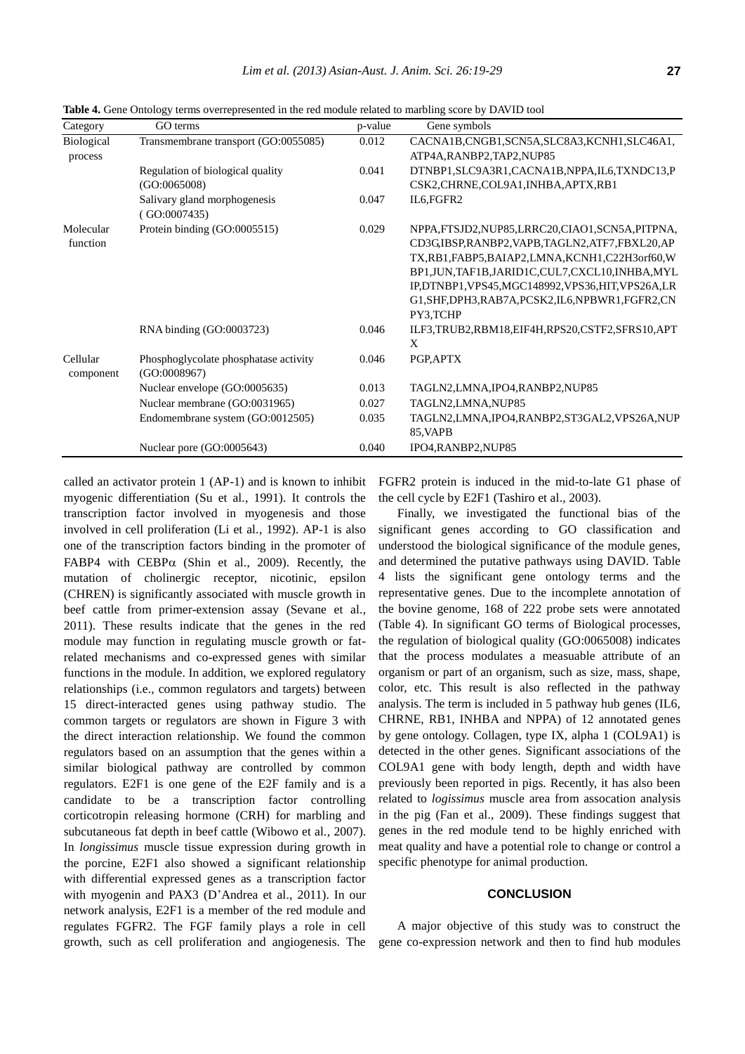| Category              | GO terms                                              | p-value | Gene symbols                                                                                                                                                                                                                                                                                                        |
|-----------------------|-------------------------------------------------------|---------|---------------------------------------------------------------------------------------------------------------------------------------------------------------------------------------------------------------------------------------------------------------------------------------------------------------------|
| Biological<br>process | Transmembrane transport (GO:0055085)                  | 0.012   | CACNA1B,CNGB1,SCN5A,SLC8A3,KCNH1,SLC46A1,<br>ATP4A, RANBP2, TAP2, NUP85                                                                                                                                                                                                                                             |
|                       | Regulation of biological quality<br>(GO:0065008)      | 0.041   | DTNBP1, SLC9A3R1, CACNA1B, NPPA, IL6, TXNDC13, P<br>CSK2,CHRNE,COL9A1,INHBA,APTX,RB1                                                                                                                                                                                                                                |
|                       | Salivary gland morphogenesis<br>(GO:0007435)          | 0.047   | IL6, FGFR2                                                                                                                                                                                                                                                                                                          |
| Molecular<br>function | Protein binding (GO:0005515)                          | 0.029   | NPPA,FTSJD2,NUP85,LRRC20,CIAO1,SCN5A,PITPNA,<br>CD3GIBSP,RANBP2,VAPB,TAGLN2,ATF7,FBXL20,AP<br>TX,RB1,FABP5,BAIAP2,LMNA,KCNH1,C22H3orf60,W<br>BP1, JUN, TAF1B, JARID1C, CUL7, CXCL10, INHBA, MYL<br>IP,DTNBP1,VPS45,MGC148992,VPS36,HIT,VPS26A,LR<br>G1, SHF, DPH3, RAB7A, PCSK2, IL6, NPBWR1, FGFR2, CN<br>PY3,TCHP |
|                       | RNA binding (GO:0003723)                              | 0.046   | ILF3,TRUB2,RBM18,EIF4H,RPS20,CSTF2,SFRS10,APT<br>X                                                                                                                                                                                                                                                                  |
| Cellular<br>component | Phosphoglycolate phosphatase activity<br>(GO:0008967) | 0.046   | PGP, APTX                                                                                                                                                                                                                                                                                                           |
|                       | Nuclear envelope (GO:0005635)                         | 0.013   | TAGLN2,LMNA,IPO4,RANBP2,NUP85                                                                                                                                                                                                                                                                                       |
|                       | Nuclear membrane (GO:0031965)                         | 0.027   | TAGLN2,LMNA,NUP85                                                                                                                                                                                                                                                                                                   |
|                       | Endomembrane system (GO:0012505)                      | 0.035   | TAGLN2,LMNA,IPO4,RANBP2,ST3GAL2,VPS26A,NUP<br>85, VAPB                                                                                                                                                                                                                                                              |
|                       | Nuclear pore (GO:0005643)                             | 0.040   | IPO4, RANBP2, NUP85                                                                                                                                                                                                                                                                                                 |

**Table 4.** Gene Ontology terms overrepresented in the red module related to marbling score by DAVID tool

called an activator protein 1 (AP-1) and is known to inhibit myogenic differentiation (Su et al., 1991). It controls the transcription factor involved in myogenesis and those involved in cell proliferation (Li et al., 1992). AP-1 is also one of the transcription factors binding in the promoter of FABP4 with  $CEBP\alpha$  (Shin et al., 2009). Recently, the mutation of cholinergic receptor, nicotinic, epsilon (CHREN) is significantly associated with muscle growth in beef cattle from primer-extension assay (Sevane et al., 2011). These results indicate that the genes in the red module may function in regulating muscle growth or fatrelated mechanisms and co-expressed genes with similar functions in the module. In addition, we explored regulatory relationships (i.e., common regulators and targets) between 15 direct-interacted genes using pathway studio. The common targets or regulators are shown in Figure 3 with the direct interaction relationship. We found the common regulators based on an assumption that the genes within a similar biological pathway are controlled by common regulators. E2F1 is one gene of the E2F family and is a candidate to be a transcription factor controlling corticotropin releasing hormone (CRH) for marbling and subcutaneous fat depth in beef cattle (Wibowo et al., 2007). In *longissimus* muscle tissue expression during growth in the porcine, E2F1 also showed a significant relationship with differential expressed genes as a transcription factor with myogenin and PAX3 (D'Andrea et al., 2011). In our network analysis, E2F1 is a member of the red module and regulates FGFR2. The FGF family plays a role in cell growth, such as cell proliferation and angiogenesis. The FGFR2 protein is induced in the mid-to-late G1 phase of the cell cycle by E2F1 (Tashiro et al., 2003).

Finally, we investigated the functional bias of the significant genes according to GO classification and understood the biological significance of the module genes, and determined the putative pathways using DAVID. Table 4 lists the significant gene ontology terms and the representative genes. Due to the incomplete annotation of the bovine genome, 168 of 222 probe sets were annotated (Table 4). In significant GO terms of Biological processes, the regulation of biological quality (GO:0065008) indicates that the process modulates a measuable attribute of an organism or part of an organism, such as size, mass, shape, color, etc. This result is also reflected in the pathway analysis. The term is included in 5 pathway hub genes (IL6, CHRNE, RB1, INHBA and NPPA) of 12 annotated genes by gene ontology. Collagen, type IX, alpha 1 (COL9A1) is detected in the other genes. Significant associations of the COL9A1 gene with body length, depth and width have previously been reported in pigs. Recently, it has also been related to *logissimus* muscle area from assocation analysis in the pig (Fan et al., 2009). These findings suggest that genes in the red module tend to be highly enriched with meat quality and have a potential role to change or control a specific phenotype for animal production.

# **CONCLUSION**

A major objective of this study was to construct the gene co-expression network and then to find hub modules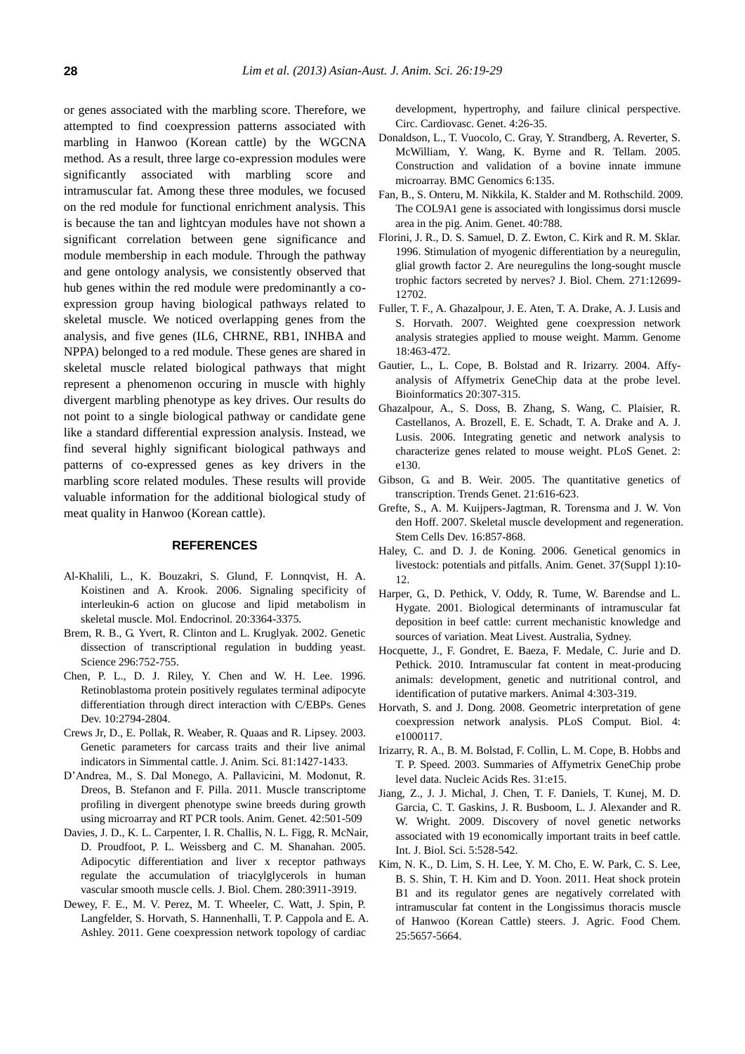or genes associated with the marbling score. Therefore, we attempted to find coexpression patterns associated with marbling in Hanwoo (Korean cattle) by the WGCNA method. As a result, three large co-expression modules were significantly associated with marbling score and intramuscular fat. Among these three modules, we focused on the red module for functional enrichment analysis. This is because the tan and lightcyan modules have not shown a significant correlation between gene significance and module membership in each module. Through the pathway and gene ontology analysis, we consistently observed that hub genes within the red module were predominantly a coexpression group having biological pathways related to skeletal muscle. We noticed overlapping genes from the analysis, and five genes (IL6, CHRNE, RB1, INHBA and NPPA) belonged to a red module. These genes are shared in skeletal muscle related biological pathways that might represent a phenomenon occuring in muscle with highly divergent marbling phenotype as key drives. Our results do not point to a single biological pathway or candidate gene like a standard differential expression analysis. Instead, we find several highly significant biological pathways and patterns of co-expressed genes as key drivers in the marbling score related modules. These results will provide valuable information for the additional biological study of meat quality in Hanwoo (Korean cattle).

# **REFERENCES**

- Al-Khalili, L., K. Bouzakri, S. Glund, F. Lonnqvist, H. A. Koistinen and A. Krook. 2006. Signaling specificity of interleukin-6 action on glucose and lipid metabolism in skeletal muscle. Mol. Endocrinol. 20:3364-3375.
- Brem, R. B., G. Yvert, R. Clinton and L. Kruglyak. 2002. Genetic dissection of transcriptional regulation in budding yeast. Science 296:752-755.
- Chen, P. L., D. J. Riley, Y. Chen and W. H. Lee. 1996. Retinoblastoma protein positively regulates terminal adipocyte differentiation through direct interaction with C/EBPs. Genes Dev. 10:2794-2804.
- Crews Jr, D., E. Pollak, R. Weaber, R. Quaas and R. Lipsey. 2003. Genetic parameters for carcass traits and their live animal indicators in Simmental cattle. J. Anim. Sci. 81:1427-1433.
- D'Andrea, M., S. Dal Monego, A. Pallavicini, M. Modonut, R. Dreos, B. Stefanon and F. Pilla. 2011. Muscle transcriptome profiling in divergent phenotype swine breeds during growth using microarray and RT PCR tools. Anim. Genet. 42:501-509
- Davies, J. D., K. L. Carpenter, I. R. Challis, N. L. Figg, R. McNair, D. Proudfoot, P. L. Weissberg and C. M. Shanahan. 2005. Adipocytic differentiation and liver x receptor pathways regulate the accumulation of triacylglycerols in human vascular smooth muscle cells. J. Biol. Chem. 280:3911-3919.
- Dewey, F. E., M. V. Perez, M. T. Wheeler, C. Watt, J. Spin, P. Langfelder, S. Horvath, S. Hannenhalli, T. P. Cappola and E. A. Ashley. 2011. Gene coexpression network topology of cardiac

development, hypertrophy, and failure clinical perspective. Circ. Cardiovasc. Genet. 4:26-35.

- Donaldson, L., T. Vuocolo, C. Gray, Y. Strandberg, A. Reverter, S. McWilliam, Y. Wang, K. Byrne and R. Tellam. 2005. Construction and validation of a bovine innate immune microarray. BMC Genomics 6:135.
- Fan, B., S. Onteru, M. Nikkila, K. Stalder and M. Rothschild. 2009. The COL9A1 gene is associated with longissimus dorsi muscle area in the pig. Anim. Genet. 40:788.
- Florini, J. R., D. S. Samuel, D. Z. Ewton, C. Kirk and R. M. Sklar. 1996. Stimulation of myogenic differentiation by a neuregulin, glial growth factor 2. Are neuregulins the long-sought muscle trophic factors secreted by nerves? J. Biol. Chem. 271:12699- 12702.
- Fuller, T. F., A. Ghazalpour, J. E. Aten, T. A. Drake, A. J. Lusis and S. Horvath. 2007. Weighted gene coexpression network analysis strategies applied to mouse weight. Mamm. Genome 18:463-472.
- Gautier, L., L. Cope, B. Bolstad and R. Irizarry. 2004. Affyanalysis of Affymetrix GeneChip data at the probe level. Bioinformatics 20:307-315.
- Ghazalpour, A., S. Doss, B. Zhang, S. Wang, C. Plaisier, R. Castellanos, A. Brozell, E. E. Schadt, T. A. Drake and A. J. Lusis. 2006. Integrating genetic and network analysis to characterize genes related to mouse weight. PLoS Genet. 2: e130.
- Gibson, G. and B. Weir. 2005. The quantitative genetics of transcription. Trends Genet. 21:616-623.
- Grefte, S., A. M. Kuijpers-Jagtman, R. Torensma and J. W. Von den Hoff. 2007. Skeletal muscle development and regeneration. Stem Cells Dev. 16:857-868.
- Haley, C. and D. J. de Koning. 2006. Genetical genomics in livestock: potentials and pitfalls. Anim. Genet. 37(Suppl 1):10- 12.
- Harper, G., D. Pethick, V. Oddy, R. Tume, W. Barendse and L. Hygate. 2001. Biological determinants of intramuscular fat deposition in beef cattle: current mechanistic knowledge and sources of variation. Meat Livest. Australia, Sydney.
- Hocquette, J., F. Gondret, E. Baeza, F. Medale, C. Jurie and D. Pethick. 2010. Intramuscular fat content in meat-producing animals: development, genetic and nutritional control, and identification of putative markers. Animal 4:303-319.
- Horvath, S. and J. Dong. 2008. Geometric interpretation of gene coexpression network analysis. PLoS Comput. Biol. 4: e1000117.
- Irizarry, R. A., B. M. Bolstad, F. Collin, L. M. Cope, B. Hobbs and T. P. Speed. 2003. Summaries of Affymetrix GeneChip probe level data. Nucleic Acids Res. 31:e15.
- Jiang, Z., J. J. Michal, J. Chen, T. F. Daniels, T. Kunej, M. D. Garcia, C. T. Gaskins, J. R. Busboom, L. J. Alexander and R. W. Wright. 2009. Discovery of novel genetic networks associated with 19 economically important traits in beef cattle. Int. J. Biol. Sci. 5:528-542.
- Kim, N. K., D. Lim, S. H. Lee, Y. M. Cho, E. W. Park, C. S. Lee, B. S. Shin, T. H. Kim and D. Yoon. 2011. Heat shock protein B1 and its regulator genes are negatively correlated with intramuscular fat content in the Longissimus thoracis muscle of Hanwoo (Korean Cattle) steers. J. Agric. Food Chem. 25:5657-5664.